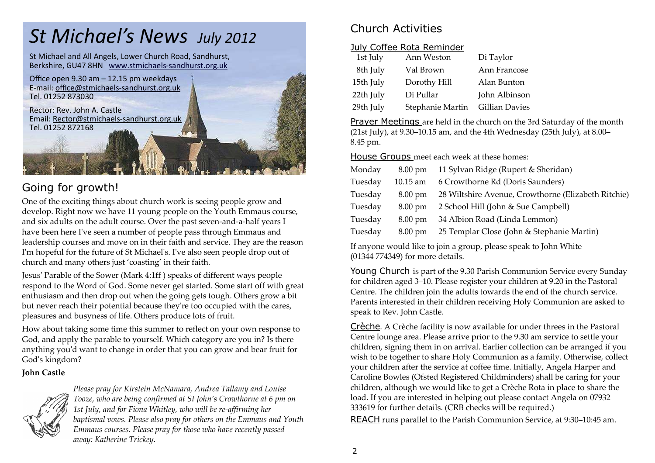# *St Michael's News July 2012*

St Michael and All Angels, Lower Church Road, Sandhurst, Berkshire, GU47 8HN www.stmichaels-sandhurst.org.uk



## Going for growth!

 One of the exciting things about church work is seeing people grow and develop. Right now we have 11 young people on the Youth Emmaus course, and six adults on the adult course. Over the past seven-and-a-half years I have been here Iʹve seen a number of people pass through Emmaus and leadership courses and move on in their faith and service. They are the reason I'm hopeful for the future of St Michael's. I've also seen people drop out of church and many others just 'coasting' in their faith.

Jesusʹ Parable of the Sower (Mark 4:1ff ) speaks of different ways people respond to the Word of God. Some never get started. Some start off with great enthusiasm and then drop out when the going gets tough. Others grow a bit but never reach their potential because theyʹre too occupied with the cares, pleasures and busyness of life. Others produce lots of fruit.

How about taking some time this summer to reflect on your own response to God, and apply the parable to yourself. Which category are you in? Is there anything youʹd want to change in order that you can grow and bear fruit for God's kingdom?

#### **John Castle**



*Please pray for Kirstein McNamara, Andrea Tallamy and Louise Tooze, who are being confirmed at St John's Crowthorne at 6 pm on 1st July, and for Fiona Whitley, who will be re-affirming her baptismal vows. Please also pray for others on the Emmaus and Youth Emmaus courses. Please pray for those who have recently passed away: Katherine Trickey*.

# Church Activities

#### July Coffee Rota Reminder

| 1st July  | Ann Weston       | Di Taylor             |
|-----------|------------------|-----------------------|
| 8th July  | Val Brown        | Ann Francose          |
| 15th July | Dorothy Hill     | Alan Bunton           |
| 22th July | Di Pullar        | John Albinson         |
| 29th July | Stephanie Martin | <b>Gillian Davies</b> |

Prayer Meetings are held in the church on the 3rd Saturday of the month (21st July), at 9.30–10.15 am, and the 4th Wednesday (25th July), at 8.00–8.45 pm.

House Groups meet each week at these homes:

| Monday  | $8.00 \text{ pm}$ | 11 Sylvan Ridge (Rupert & Sheridan)                 |
|---------|-------------------|-----------------------------------------------------|
| Tuesday | $10.15$ am        | 6 Crowthorne Rd (Doris Saunders)                    |
| Tuesday | $8.00 \text{ pm}$ | 28 Wiltshire Avenue, Crowthorne (Elizabeth Ritchie) |
| Tuesday | $8.00 \text{ pm}$ | 2 School Hill (John & Sue Campbell)                 |
| Tuesday | $8.00 \text{ pm}$ | 34 Albion Road (Linda Lemmon)                       |
| Tuesday | $8.00 \text{ pm}$ | 25 Templar Close (John & Stephanie Martin)          |

If anyone would like to join a group, please speak to John White (01344 774349) for more details.

Young Church is part of the 9.30 Parish Communion Service every Sunday for children aged 3–10. Please register your children at 9.20 in the Pastoral Centre. The children join the adults towards the end of the church service. Parents interested in their children receiving Holy Communion are asked to speak to Rev. John Castle.

Crèche. A Crèche facility is now available for under threes in the Pastoral Centre lounge area. Please arrive prior to the 9.30 am service to settle your children, signing them in on arrival. Earlier collection can be arranged if you wish to be together to share Holy Communion as a family. Otherwise, collect your children after the service at coffee time. Initially, Angela Harper and Caroline Bowles (Ofsted Registered Childminders) shall be caring for your children, although we would like to get a Crèche Rota in place to share the load. If you are interested in helping out please contact Angela on 07932 333619 for further details. (CRB checks will be required.)

REACH runs parallel to the Parish Communion Service, at 9:30–10:45 am.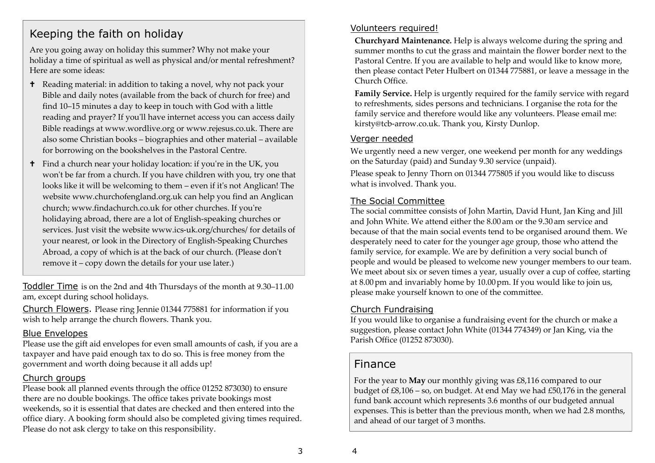### Keeping the faith on holiday

Are you going away on holiday this summer? Why not make your holiday a time of spiritual as well as physical and/or mental refreshment? Here are some ideas:

- **t** Reading material: in addition to taking a novel, why not pack your Bible and daily notes (available from the back of church for free) and find 10–15 minutes a day to keep in touch with God with a little reading and prayer? If you'll have internet access you can access daily Bible readings at www.wordlive.org or www.rejesus.co.uk. There are also some Christian books – biographies and other material – available for borrowing on the bookshelves in the Pastoral Centre.
- $\dagger$  Find a church near your holiday location: if you're in the UK, you won't be far from a church. If you have children with you, try one that looks like it will be welcoming to them – even if it's not Anglican! The website www.churchofengland.org.uk can help you find an Anglican church; www.findachurch.co.uk for other churches. If youʹre holidaying abroad, there are a lot of English-speaking churches or services. Just visit the website www.ics-uk.org/churches/ for details of your nearest, or look in the Directory of English-Speaking Churches Abroad, a copy of which is at the back of our church. (Please don't remove it – copy down the details for your use later.)

Toddler Time is on the 2nd and 4th Thursdays of the month at 9.30–11.00 am, except during school holidays.

Church Flowers. Please ring Jennie 01344 775881 for information if you wish to help arrange the church flowers. Thank you.

#### Blue Envelopes

 Please use the gift aid envelopes for even small amounts of cash, if you are a taxpayer and have paid enough tax to do so. This is free money from the government and worth doing because it all adds up!

#### Church groups

 Please book all planned events through the office 01252 873030) to ensure there are no double bookings. The office takes private bookings most weekends, so it is essential that dates are checked and then entered into the office diary. A booking form should also be completed giving times required. Please do not ask clergy to take on this responsibility.

#### Volunteers required!

**Churchyard Maintenance.** Help is always welcome during the spring and summer months to cut the grass and maintain the flower border next to the Pastoral Centre. If you are available to help and would like to know more, then please contact Peter Hulbert on 01344 775881, or leave a message in the Church Office.

**Family Service.** Help is urgently required for the family service with regard to refreshments, sides persons and technicians. I organise the rota for the family service and therefore would like any volunteers. Please email me: kirsty@tcb-arrow.co.uk. Thank you, Kirsty Dunlop.

#### Verger needed

We urgently need a new verger, one weekend per month for any weddings on the Saturday (paid) and Sunday 9.30 service (unpaid).

Please speak to Jenny Thorn on 01344 775805 if you would like to discuss what is involved. Thank you.

#### The Social Committee

 The social committee consists of John Martin, David Hunt, Jan King and Jill and John White. We attend either the 8.00 am or the 9.30 am service and because of that the main social events tend to be organised around them. We desperately need to cater for the younger age group, those who attend the family service, for example. We are by definition a very social bunch of people and would be pleased to welcome new younger members to our team. We meet about six or seven times a year, usually over a cup of coffee, starting at 8.00 pm and invariably home by 10.00 pm. If you would like to join us, please make yourself known to one of the committee.

#### Church Fundraising

 If you would like to organise a fundraising event for the church or make a suggestion, please contact John White (01344 774349) or Jan King, via the Parish Office (01252 873030).

### Finance

For the year to **May** our monthly giving was £8,116 compared to our budget of £8,106 – so, on budget. At end May we had £50,176 in the general fund bank account which represents 3.6 months of our budgeted annual expenses. This is better than the previous month, when we had 2.8 months, and ahead of our target of 3 months.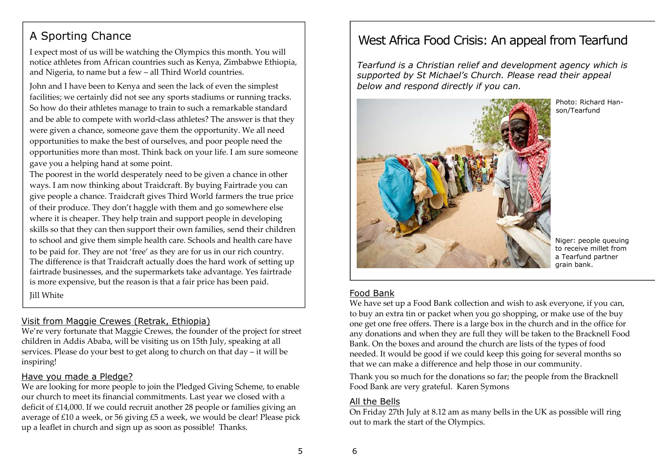# A Sporting Chance

I expect most of us will be watching the Olympics this month. You will notice athletes from African countries such as Kenya, Zimbabwe Ethiopia, and Nigeria, to name but a few – all Third World countries.

John and I have been to Kenya and seen the lack of even the simplest facilities; we certainly did not see any sports stadiums or running tracks. So how do their athletes manage to train to such a remarkable standard and be able to compete with world-class athletes? The answer is that they were given a chance, someone gave them the opportunity. We all need opportunities to make the best of ourselves, and poor people need the opportunities more than most. Think back on your life. I am sure someone gave you a helping hand at some point.

The poorest in the world desperately need to be given a chance in other ways. I am now thinking about Traidcraft. By buying Fairtrade you can give people a chance. Traidcraft gives Third World farmers the true price of their produce. They don't haggle with them and go somewhere else where it is cheaper. They help train and support people in developing skills so that they can then support their own families, send their children to school and give them simple health care. Schools and health care have to be paid for. They are not 'free' as they are for us in our rich country. The difference is that Traidcraft actually does the hard work of setting up fairtrade businesses, and the supermarkets take advantage. Yes fairtrade is more expensive, but the reason is that a fair price has been paid. Jill White

#### Visit from Maggie Crewes (Retrak, Ethiopia)

 We're very fortunate that Maggie Crewes, the founder of the project for street children in Addis Ababa, will be visiting us on 15th July, speaking at all services. Please do your best to get along to church on that day – it will be inspiring!

#### Have you made a Pledge?

 We are looking for more people to join the Pledged Giving Scheme, to enable our church to meet its financial commitments. Last year we closed with a deficit of £14,000. If we could recruit another 28 people or families giving an average of £10 a week, or 56 giving £5 a week, we would be clear! Please pick up a leaflet in church and sign up as soon as possible! Thanks.

# West Africa Food Crisis: An appeal from Tearfund

*Tearfund is a Christian relief and development agency which is supported by St Michael's Church. Please read their appeal below and respond directly if you can.* 



Photo: Richard Hanson/Tearfund

Niger: people queuing to receive millet from a Tearfund partner grain bank.

#### Food Bank

 We have set up a Food Bank collection and wish to ask everyone, if you can, to buy an extra tin or packet when you go shopping, or make use of the buy one get one free offers. There is a large box in the church and in the office for any donations and when they are full they will be taken to the Bracknell Food Bank. On the boxes and around the church are lists of the types of food needed. It would be good if we could keep this going for several months so that we can make a difference and help those in our community.

Thank you so much for the donations so far; the people from the Bracknell Food Bank are very grateful. Karen Symons

#### All the Bells

 On Friday 27th July at 8.12 am as many bells in the UK as possible will ring out to mark the start of the Olympics.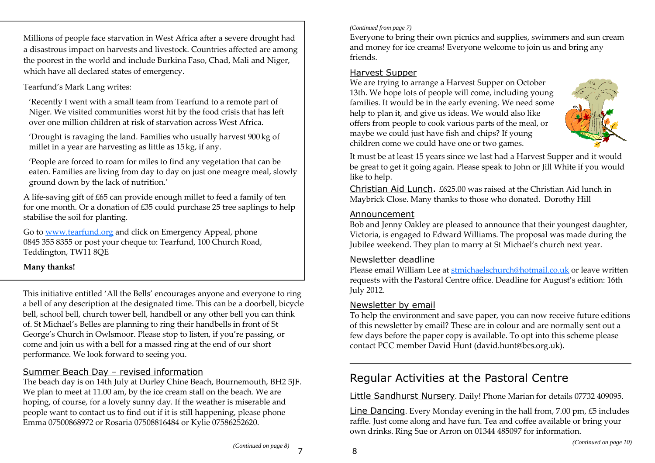Millions of people face starvation in West Africa after a severe drought had a disastrous impact on harvests and livestock. Countries affected are among the poorest in the world and include Burkina Faso, Chad, Mali and Niger, which have all declared states of emergency.

#### Tearfund's Mark Lang writes:

'Recently I went with a small team from Tearfund to a remote part of Niger. We visited communities worst hit by the food crisis that has left over one million children at risk of starvation across West Africa.

'Drought is ravaging the land. Families who usually harvest 900kg of millet in a year are harvesting as little as 15kg, if any.

'People are forced to roam for miles to find any vegetation that can be eaten. Families are living from day to day on just one meagre meal, slowly ground down by the lack of nutrition.'

A life-saving gift of £65 can provide enough millet to feed a family of ten for one month. Or a donation of £35 could purchase 25 tree saplings to help stabilise the soil for planting.

Go to www.tearfund.org and click on Emergency Appeal, phone 0845 355 8355 or post your cheque to: Tearfund, 100 Church Road, Teddington, TW11 8QE

#### **Many thanks!**

This initiative entitled 'All the Bells' encourages anyone and everyone to ring a bell of any description at the designated time. This can be a doorbell, bicycle bell, school bell, church tower bell, handbell or any other bell you can think of. St Michael's Belles are planning to ring their handbells in front of St George's Church in Owlsmoor. Please stop to listen, if you're passing, or come and join us with a bell for a massed ring at the end of our short performance. We look forward to seeing you.

#### Summer Beach Day – revised information

 The beach day is on 14th July at Durley Chine Beach, Bournemouth, BH2 5JF. We plan to meet at 11.00 am, by the ice cream stall on the beach. We are hoping, of course, for a lovely sunny day. If the weather is miserable and people want to contact us to find out if it is still happening, please phone Emma 07500868972 or Rosaria 07508816484 or Kylie 07586252620.

#### *(Continued from page 7)*

Everyone to bring their own picnics and supplies, swimmers and sun cream and money for ice creams! Everyone welcome to join us and bring any friends.

#### Harvest Supper

 We are trying to arrange a Harvest Supper on October 13th. We hope lots of people will come, including young families. It would be in the early evening. We need some help to plan it, and give us ideas. We would also like offers from people to cook various parts of the meal, or maybe we could just have fish and chips? If young children come we could have one or two games.



It must be at least 15 years since we last had a Harvest Supper and it would be great to get it going again. Please speak to John or Jill White if you would like to help.

Christian Aid Lunch. £625.00 was raised at the Christian Aid lunch in Maybrick Close. Many thanks to those who donated. Dorothy Hill

#### Announcement

 Bob and Jenny Oakley are pleased to announce that their youngest daughter, Victoria, is engaged to Edward Williams. The proposal was made during the Jubilee weekend. They plan to marry at St Michael's church next year.

#### Newsletter deadline

 Please email William Lee at stmichaelschurch@hotmail.co.uk or leave written requests with the Pastoral Centre office. Deadline for August's edition: 16th July 2012.

#### Newsletter by email

 To help the environment and save paper, you can now receive future editions of this newsletter by email? These are in colour and are normally sent out a few days before the paper copy is available. To opt into this scheme please contact PCC member David Hunt (david.hunt@bcs.org.uk).

# Regular Activities at the Pastoral Centre

Little Sandhurst Nursery. Daily! Phone Marian for details 07732 409095.

Line Dancing. Every Monday evening in the hall from, 7.00 pm, £5 includes raffle. Just come along and have fun. Tea and coffee available or bring your own drinks. Ring Sue or Arron on 01344 485097 for information.

8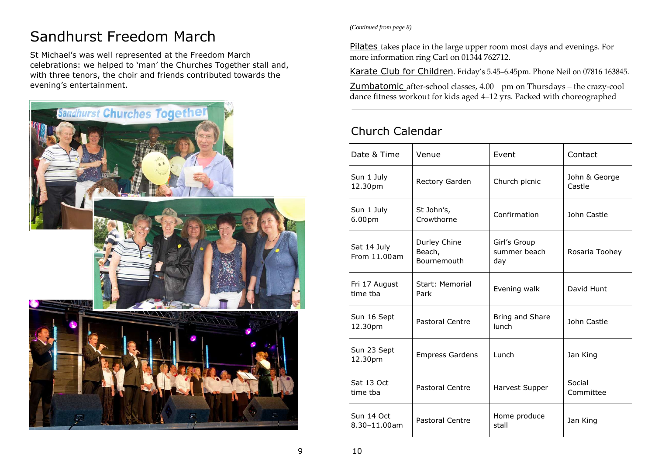# Sandhurst Freedom March

St Michael's was well represented at the Freedom March celebrations: we helped to 'man' the Churches Together stall and, with three tenors, the choir and friends contributed towards the evening's entertainment.



*(Continued from page 8)* 

Pilates takes place in the large upper room most days and evenings. For more information ring Carl on 01344 762712.

Karate Club for Children. Friday's 5.45–6.45pm. Phone Neil on 07816 163845.

Zumbatomic after-school classes, 4.00 pm on Thursdays – the crazy-cool dance fitness workout for kids aged 4–12 yrs. Packed with choreographed

### Church Calendar

| Date & Time                      | Venue                                 | Event                               | Contact                 |
|----------------------------------|---------------------------------------|-------------------------------------|-------------------------|
| Sun 1 July<br>12.30pm            | Rectory Garden                        | Church picnic                       | John & George<br>Castle |
| Sun 1 July<br>6.00 <sub>pm</sub> | St John's,<br>Crowthorne              | Confirmation                        | John Castle             |
| Sat 14 July<br>From 11.00am      | Durley Chine<br>Beach,<br>Bournemouth | Girl's Group<br>summer beach<br>day | Rosaria Toohey          |
| Fri 17 August<br>time tha        | Start: Memorial<br>Park               | Evening walk                        | David Hunt              |
| Sun 16 Sept<br>12.30pm           | <b>Pastoral Centre</b>                | Bring and Share<br>lunch            | John Castle             |
| Sun 23 Sept<br>12.30pm           | <b>Empress Gardens</b>                | Lunch                               | Jan King                |
| Sat 13 Oct<br>time tba           | <b>Pastoral Centre</b>                | Harvest Supper                      | Social<br>Committee     |
| Sun 14 Oct<br>$8.30 - 11.00$ am  | Pastoral Centre                       | Home produce<br>stall               | Jan King                |